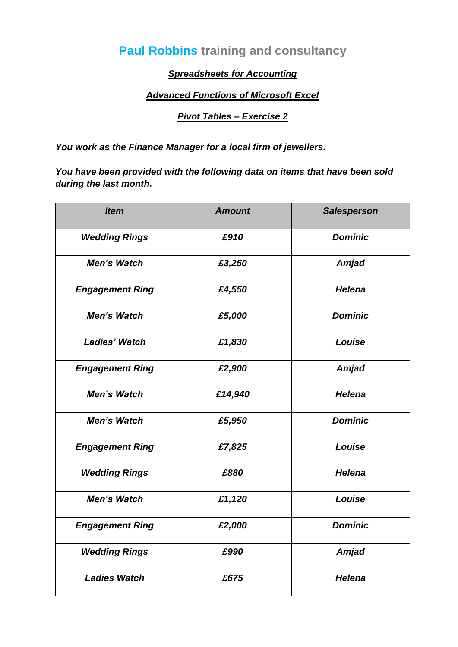# **Paul Robbins training and consultancy**

### *Spreadsheets for Accounting*

#### *Advanced Functions of Microsoft Excel*

#### *Pivot Tables – Exercise 2*

*You work as the Finance Manager for a local firm of jewellers.*

*You have been provided with the following data on items that have been sold during the last month.*

| <b>Item</b>            | <b>Amount</b> | <b>Salesperson</b> |
|------------------------|---------------|--------------------|
| <b>Wedding Rings</b>   | £910          | <b>Dominic</b>     |
| <b>Men's Watch</b>     | £3,250        | Amjad              |
| <b>Engagement Ring</b> | £4,550        | <b>Helena</b>      |
| <b>Men's Watch</b>     | £5,000        | <b>Dominic</b>     |
| <b>Ladies' Watch</b>   | £1,830        | Louise             |
| <b>Engagement Ring</b> | £2,900        | <b>Amjad</b>       |
| <b>Men's Watch</b>     | £14,940       | <b>Helena</b>      |
| <b>Men's Watch</b>     | £5,950        | <b>Dominic</b>     |
| <b>Engagement Ring</b> | £7,825        | Louise             |
| <b>Wedding Rings</b>   | £880          | <b>Helena</b>      |
| <b>Men's Watch</b>     | £1,120        | Louise             |
| <b>Engagement Ring</b> | £2,000        | <b>Dominic</b>     |
| <b>Wedding Rings</b>   | £990          | <b>Amjad</b>       |
| <b>Ladies Watch</b>    | £675          | <b>Helena</b>      |